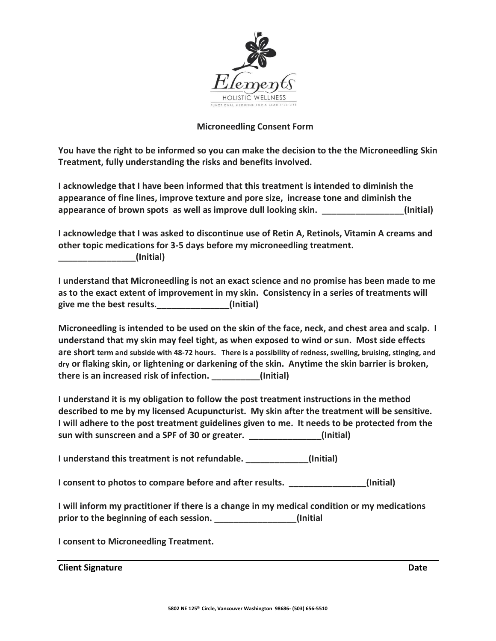

## **Microneedling Consent Form**

**You have the right to be informed so you can make the decision to the the Microneedling Skin Treatment, fully understanding the risks and benefits involved.** 

**I acknowledge that I have been informed that this treatment is intended to diminish the appearance of fine lines, improve texture and pore size, increase tone and diminish the appearance of brown spots as well as improve dull looking skin. \_\_\_\_\_\_\_\_\_\_\_\_\_\_\_\_\_(Initial)**

**I acknowledge that I was asked to discontinue use of Retin A, Retinols, Vitamin A creams and other topic medications for 3-5 days before my microneedling treatment. \_\_\_\_\_\_\_\_\_\_\_\_\_\_\_\_(Initial)**

**I understand that Microneedling is not an exact science and no promise has been made to me as to the exact extent of improvement in my skin. Consistency in a series of treatments will give me the best results.\_\_\_\_\_\_\_\_\_\_\_\_\_\_\_(Initial)**

**Microneedling is intended to be used on the skin of the face, neck, and chest area and scalp. I understand that my skin may feel tight, as when exposed to wind or sun. Most side effects are short term and subside with 48-72 hours. There is a possibility of redness, swelling, bruising, stinging, and dry or flaking skin, or lightening or darkening of the skin. Anytime the skin barrier is broken, there is an increased risk of infection. \_\_\_\_\_\_\_\_\_\_(Initial)** 

**I understand it is my obligation to follow the post treatment instructions in the method described to me by my licensed Acupuncturist. My skin after the treatment will be sensitive. I will adhere to the post treatment guidelines given to me. It needs to be protected from the sun with sunscreen and a SPF of 30 or greater. \_\_\_\_\_\_\_\_\_\_\_\_\_\_\_(Initial)**

**I understand this treatment is not refundable. \_\_\_\_\_\_\_\_\_\_\_\_\_(Initial)**

**I consent to photos to compare before and after results. \_\_\_\_\_\_\_\_\_\_\_\_\_\_\_\_(Initial)**

**I will inform my practitioner if there is a change in my medical condition or my medications**  prior to the beginning of each session. **Example 20** (Initial **)** 

**I consent to Microneedling Treatment.**

**Client Signature Date**